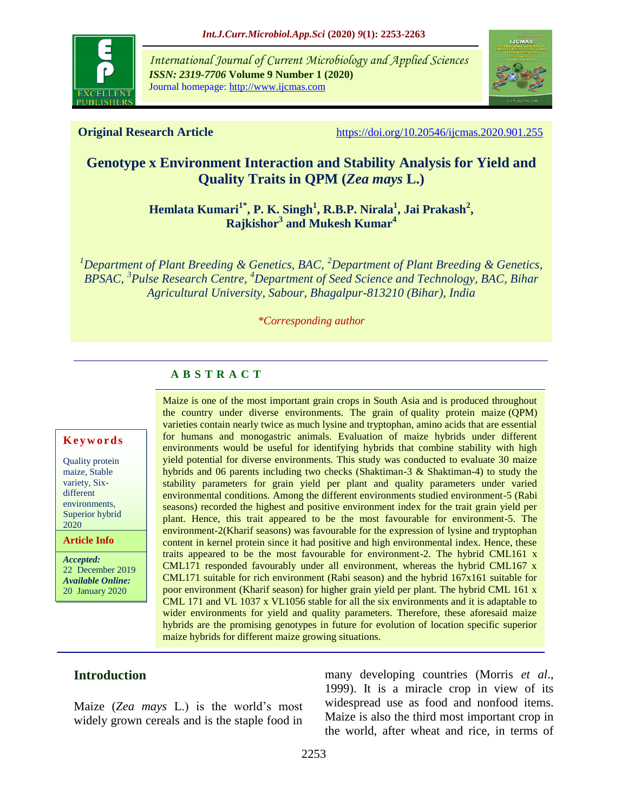

*International Journal of Current Microbiology and Applied Sciences ISSN: 2319-7706* **Volume 9 Number 1 (2020)** Journal homepage: http://www.ijcmas.com



**Original Research Article** <https://doi.org/10.20546/ijcmas.2020.901.255>

# **Genotype x Environment Interaction and Stability Analysis for Yield and Quality Traits in QPM (***Zea mays* **L.)**

**Hemlata Kumari1\*, P. K. Singh<sup>1</sup> , R.B.P. Nirala<sup>1</sup> , Jai Prakash<sup>2</sup> , Rajkishor<sup>3</sup> and Mukesh Kumar<sup>4</sup>**

*<sup>1</sup>Department of Plant Breeding & Genetics, BAC, <sup>2</sup>Department of Plant Breeding & Genetics, BPSAC, <sup>3</sup> Pulse Research Centre, <sup>4</sup>Department of Seed Science and Technology, BAC, Bihar Agricultural University, Sabour, Bhagalpur-813210 (Bihar), India*

*\*Corresponding author*

### **A B S T R A C T**

#### **K e y w o r d s**

Quality protein maize, Stable variety, Sixdifferent environments, Superior hybrid 2020

**Article Info**

*Accepted:*  22 December 2019 *Available Online:* 20 January 2020

Maize is one of the most important grain crops in South Asia and is produced throughout the country under diverse environments. The grain of quality protein maize (QPM) varieties contain nearly twice as much lysine and tryptophan, amino acids that are essential for humans and monogastric animals. Evaluation of maize hybrids under different environments would be useful for identifying hybrids that combine stability with high yield potential for diverse environments. This study was conducted to evaluate 30 maize hybrids and 06 parents including two checks (Shaktiman-3 & Shaktiman-4) to study the stability parameters for grain yield per plant and quality parameters under varied environmental conditions. Among the different environments studied environment-5 (Rabi seasons) recorded the highest and positive environment index for the trait grain yield per plant. Hence, this trait appeared to be the most favourable for environment-5. The environment-2(Kharif seasons) was favourable for the expression of lysine and tryptophan content in kernel protein since it had positive and high environmental index. Hence, these traits appeared to be the most favourable for environment-2. The hybrid CML161 x CML171 responded favourably under all environment, whereas the hybrid CML167 x CML171 suitable for rich environment (Rabi season) and the hybrid 167x161 suitable for poor environment (Kharif season) for higher grain yield per plant. The hybrid CML 161 x CML 171 and VL 1037 x VL1056 stable for all the six environments and it is adaptable to wider environments for yield and quality parameters. Therefore, these aforesaid maize hybrids are the promising genotypes in future for evolution of location specific superior maize hybrids for different maize growing situations.

### **Introduction**

Maize (*Zea mays* L.) is the world's most widely grown cereals and is the staple food in

many developing countries (Morris *et al*., 1999). It is a miracle crop in view of its widespread use as food and nonfood items. Maize is also the third most important crop in the world, after wheat and rice, in terms of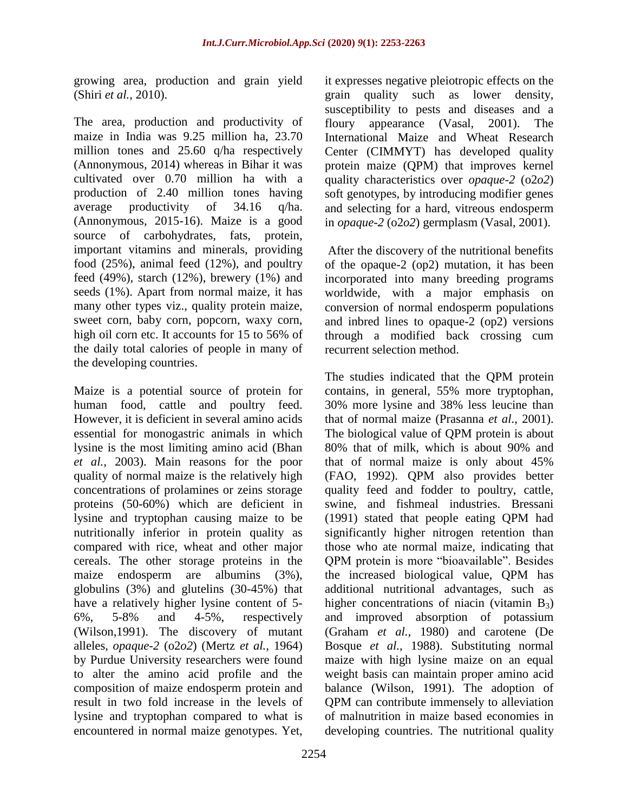growing area, production and grain yield (Shiri *et al.*, 2010).

The area, production and productivity of maize in India was 9.25 million ha, 23.70 million tones and 25.60 q/ha respectively (Annonymous, 2014) whereas in Bihar it was cultivated over 0.70 million ha with a production of 2.40 million tones having average productivity of 34.16 q/ha. (Annonymous, 2015-16). Maize is a good source of carbohydrates, fats, protein, important vitamins and minerals, providing food (25%), animal feed (12%), and poultry feed  $(49\%)$ , starch  $(12\%)$ , brewery  $(1\%)$  and seeds (1%). Apart from normal maize, it has many other types viz., quality protein maize, sweet corn, baby corn, popcorn, waxy corn, high oil corn etc. It accounts for 15 to 56% of the daily total calories of people in many of the developing countries.

Maize is a potential source of protein for human food, cattle and poultry feed. However, it is deficient in several amino acids essential for monogastric animals in which lysine is the most limiting amino acid (Bhan *et al.*, 2003). Main reasons for the poor quality of normal maize is the relatively high concentrations of prolamines or zeins storage proteins (50-60%) which are deficient in lysine and tryptophan causing maize to be nutritionally inferior in protein quality as compared with rice, wheat and other major cereals. The other storage proteins in the maize endosperm are albumins (3%), globulins (3%) and glutelins (30-45%) that have a relatively higher lysine content of 5- 6%, 5-8% and 4-5%, respectively (Wilson,1991). The discovery of mutant alleles, *opaque-2* (o2*o2*) (Mertz *et al.,* 1964) by Purdue University researchers were found to alter the amino acid profile and the composition of maize endosperm protein and result in two fold increase in the levels of lysine and tryptophan compared to what is encountered in normal maize genotypes. Yet,

it expresses negative pleiotropic effects on the grain quality such as lower density, susceptibility to pests and diseases and a floury appearance (Vasal, 2001). The International Maize and Wheat Research Center (CIMMYT) has developed quality protein maize (QPM) that improves kernel quality characteristics over *opaque-2* (o2*o2*) soft genotypes, by introducing modifier genes and selecting for a hard, vitreous endosperm in *opaque-2* (o2*o2*) germplasm (Vasal, 2001).

After the discovery of the nutritional benefits of the opaque-2 (op2) mutation, it has been incorporated into many breeding programs worldwide, with a major emphasis on conversion of normal endosperm populations and inbred lines to opaque-2 (op2) versions through a modified back crossing cum recurrent selection method.

The studies indicated that the QPM protein contains, in general, 55% more tryptophan, 30% more lysine and 38% less leucine than that of normal maize (Prasanna *et al*., 2001). The biological value of QPM protein is about 80% that of milk, which is about 90% and that of normal maize is only about 45% (FAO, 1992). QPM also provides better quality feed and fodder to poultry, cattle, swine, and fishmeal industries. Bressani (1991) stated that people eating QPM had significantly higher nitrogen retention than those who ate normal maize, indicating that QPM protein is more "bioavailable". Besides the increased biological value, QPM has additional nutritional advantages, such as higher concentrations of niacin (vitamin  $B_3$ ) and improved absorption of potassium (Graham *et al.,* 1980) and carotene (De Bosque *et al.,* 1988). Substituting normal maize with high lysine maize on an equal weight basis can maintain proper amino acid balance (Wilson, 1991). The adoption of QPM can contribute immensely to alleviation of malnutrition in maize based economies in developing countries. The nutritional quality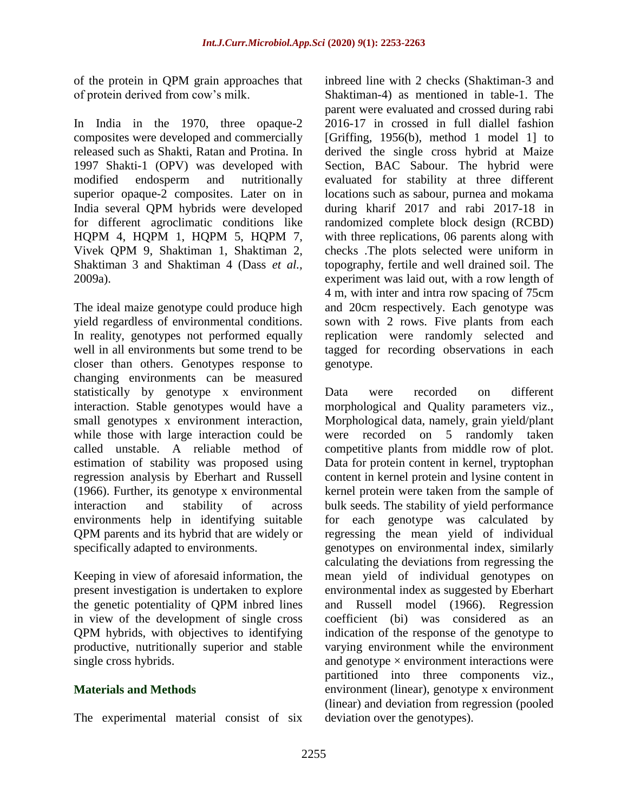of the protein in QPM grain approaches that of protein derived from cow's milk.

In India in the 1970, three opaque-2 composites were developed and commercially released such as Shakti, Ratan and Protina. In 1997 Shakti-1 (OPV) was developed with modified endosperm and nutritionally superior opaque-2 composites. Later on in India several QPM hybrids were developed for different agroclimatic conditions like HQPM 4, HQPM 1, HQPM 5, HQPM 7, Vivek QPM 9, Shaktiman 1, Shaktiman 2, Shaktiman 3 and Shaktiman 4 (Dass *et al.,* 2009a).

The ideal maize genotype could produce high yield regardless of environmental conditions. In reality, genotypes not performed equally well in all environments but some trend to be closer than others. Genotypes response to changing environments can be measured statistically by genotype x environment interaction. Stable genotypes would have a small genotypes x environment interaction, while those with large interaction could be called unstable. A reliable method of estimation of stability was proposed using regression analysis by Eberhart and Russell (1966). Further, its genotype x environmental interaction and stability of across environments help in identifying suitable QPM parents and its hybrid that are widely or specifically adapted to environments.

Keeping in view of aforesaid information, the present investigation is undertaken to explore the genetic potentiality of QPM inbred lines in view of the development of single cross QPM hybrids, with objectives to identifying productive, nutritionally superior and stable single cross hybrids.

### **Materials and Methods**

The experimental material consist of six

inbreed line with 2 checks (Shaktiman-3 and Shaktiman-4) as mentioned in table-1. The parent were evaluated and crossed during rabi 2016-17 in crossed in full diallel fashion [Griffing, 1956(b), method 1 model 1] to derived the single cross hybrid at Maize Section, BAC Sabour. The hybrid were evaluated for stability at three different locations such as sabour, purnea and mokama during kharif 2017 and rabi 2017-18 in randomized complete block design (RCBD) with three replications, 06 parents along with checks .The plots selected were uniform in topography, fertile and well drained soil. The experiment was laid out, with a row length of 4 m, with inter and intra row spacing of 75cm and 20cm respectively. Each genotype was sown with 2 rows. Five plants from each replication were randomly selected and tagged for recording observations in each genotype.

Data were recorded on different morphological and Quality parameters viz., Morphological data, namely, grain yield/plant were recorded on 5 randomly taken competitive plants from middle row of plot. Data for protein content in kernel, tryptophan content in kernel protein and lysine content in kernel protein were taken from the sample of bulk seeds. The stability of yield performance for each genotype was calculated by regressing the mean yield of individual genotypes on environmental index, similarly calculating the deviations from regressing the mean yield of individual genotypes on environmental index as suggested by Eberhart and Russell model (1966). Regression coefficient (bi) was considered as an indication of the response of the genotype to varying environment while the environment and genotype  $\times$  environment interactions were partitioned into three components viz., environment (linear), genotype x environment (linear) and deviation from regression (pooled deviation over the genotypes).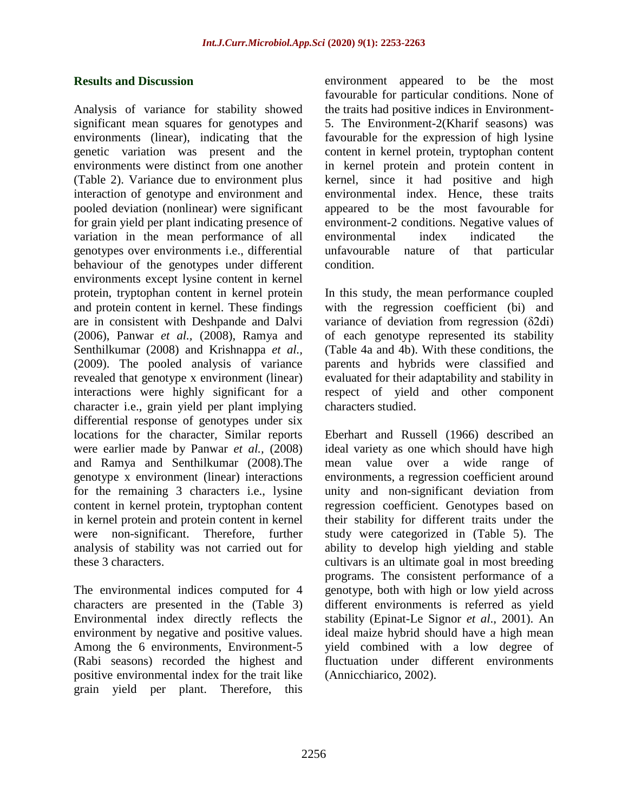#### **Results and Discussion**

Analysis of variance for stability showed significant mean squares for genotypes and environments (linear), indicating that the genetic variation was present and the environments were distinct from one another (Table 2). Variance due to environment plus interaction of genotype and environment and pooled deviation (nonlinear) were significant for grain yield per plant indicating presence of variation in the mean performance of all genotypes over environments i.e., differential behaviour of the genotypes under different environments except lysine content in kernel protein, tryptophan content in kernel protein and protein content in kernel. These findings are in consistent with Deshpande and Dalvi (2006), Panwar *et al.,* (2008), Ramya and Senthilkumar (2008) and Krishnappa *et al.,*  (2009). The pooled analysis of variance revealed that genotype x environment (linear) interactions were highly significant for a character i.e., grain yield per plant implying differential response of genotypes under six locations for the character, Similar reports were earlier made by Panwar *et al.,* (2008) and Ramya and Senthilkumar (2008).The genotype x environment (linear) interactions for the remaining 3 characters i.e., lysine content in kernel protein, tryptophan content in kernel protein and protein content in kernel were non-significant. Therefore, further analysis of stability was not carried out for these 3 characters.

The environmental indices computed for 4 characters are presented in the (Table 3) Environmental index directly reflects the environment by negative and positive values. Among the 6 environments, Environment-5 (Rabi seasons) recorded the highest and positive environmental index for the trait like grain yield per plant. Therefore, this environment appeared to be the most favourable for particular conditions. None of the traits had positive indices in Environment-5. The Environment-2(Kharif seasons) was favourable for the expression of high lysine content in kernel protein, tryptophan content in kernel protein and protein content in kernel, since it had positive and high environmental index. Hence, these traits appeared to be the most favourable for environment-2 conditions. Negative values of environmental index indicated the unfavourable nature of that particular condition.

In this study, the mean performance coupled with the regression coefficient (bi) and variance of deviation from regression (δ2di) of each genotype represented its stability (Table 4a and 4b). With these conditions, the parents and hybrids were classified and evaluated for their adaptability and stability in respect of yield and other component characters studied.

Eberhart and Russell (1966) described an ideal variety as one which should have high mean value over a wide range of environments, a regression coefficient around unity and non-significant deviation from regression coefficient. Genotypes based on their stability for different traits under the study were categorized in (Table 5). The ability to develop high yielding and stable cultivars is an ultimate goal in most breeding programs. The consistent performance of a genotype, both with high or low yield across different environments is referred as yield stability (Epinat-Le Signor *et al*., 2001). An ideal maize hybrid should have a high mean yield combined with a low degree of fluctuation under different environments (Annicchiarico, 2002).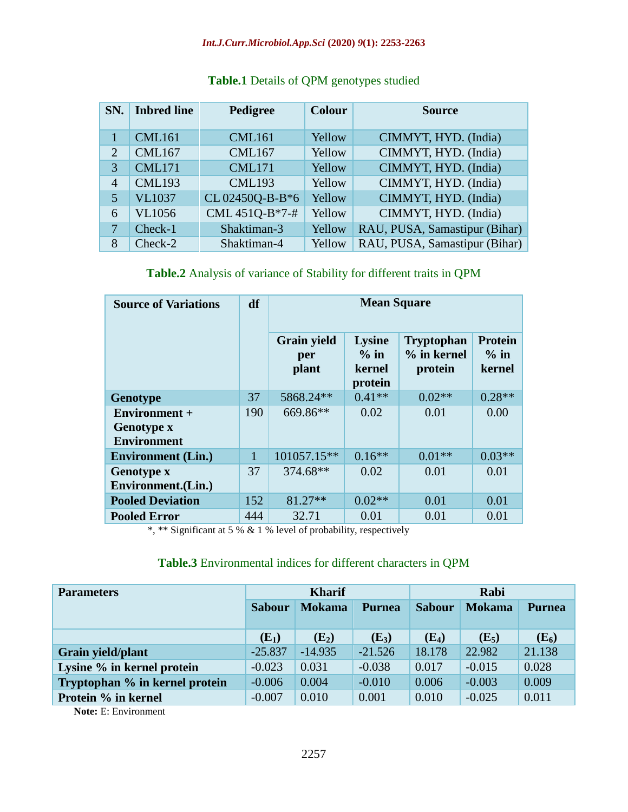#### *Int.J.Curr.Microbiol.App.Sci* **(2020)** *9***(1): 2253-2263**

| SN.            | <b>Inbred line</b> | Pedigree       | <b>Colour</b> | <b>Source</b>                 |
|----------------|--------------------|----------------|---------------|-------------------------------|
|                | <b>CML161</b>      | <b>CML161</b>  | Yellow        | CIMMYT, HYD. (India)          |
| $\overline{2}$ | <b>CML167</b>      | <b>CML167</b>  | Yellow        | CIMMYT, HYD. (India)          |
| 3              | <b>CML171</b>      | <b>CML171</b>  | Yellow        | CIMMYT, HYD. (India)          |
| 4              | <b>CML193</b>      | <b>CML193</b>  | Yellow        | CIMMYT, HYD. (India)          |
| 5              | <b>VL1037</b>      | CL02450Q-B-B*6 | Yellow        | CIMMYT, HYD. (India)          |
| 6              | <b>VL1056</b>      | CML 451Q-B*7-# | Yellow        | CIMMYT, HYD. (India)          |
| 7              | Check-1            | Shaktiman-3    | Yellow        | RAU, PUSA, Samastipur (Bihar) |
| 8              | Check-2            | Shaktiman-4    | Yellow        | RAU, PUSA, Samastipur (Bihar) |

## **Table.1** Details of QPM genotypes studied

# **Table.2** Analysis of variance of Stability for different traits in QPM

| <b>Source of Variations</b>                              | df  | <b>Mean Square</b>                 |                                              |                                               |                                    |
|----------------------------------------------------------|-----|------------------------------------|----------------------------------------------|-----------------------------------------------|------------------------------------|
|                                                          |     | <b>Grain yield</b><br>per<br>plant | <b>Lysine</b><br>$%$ in<br>kernel<br>protein | <b>Tryptophan</b><br>$%$ in kernel<br>protein | <b>Protein</b><br>$%$ in<br>kernel |
| <b>Genotype</b>                                          | 37  | 5868.24**                          | $0.41**$                                     | $0.02**$                                      | $0.28**$                           |
| Environment +<br><b>Genotype x</b><br><b>Environment</b> | 190 | 669.86**                           | 0.02                                         | 0.01                                          | 0.00                               |
| <b>Environment</b> (Lin.)                                | 1   | 101057.15**                        | $0.16**$                                     | $0.01**$                                      | $0.03**$                           |
| <b>Genotype x</b><br>Environment. (Lin.)                 | 37  | 374.68**                           | 0.02                                         | 0.01                                          | 0.01                               |
| <b>Pooled Deviation</b>                                  | 152 | 81.27**                            | $0.02**$                                     | 0.01                                          | 0.01                               |
| <b>Pooled Error</b>                                      | 444 | 32.71                              | 0.01                                         | 0.01                                          | 0.01                               |

\*, \*\* Significant at 5 % & 1 % level of probability, respectively

## **Table.3** Environmental indices for different characters in QPM

| <b>Parameters</b>              | <b>Kharif</b> |               |               | Rabi          |               |               |
|--------------------------------|---------------|---------------|---------------|---------------|---------------|---------------|
|                                | <b>Sabour</b> | <b>Mokama</b> | <b>Purnea</b> | <b>Sabour</b> | <b>Mokama</b> | <b>Purnea</b> |
|                                |               |               |               |               |               |               |
|                                | $(E_1)$       | $(E_2)$       | $(E_3)$       | $(E_4)$       | $(E_5)$       | $(E_6)$       |
| Grain yield/plant              | $-25.837$     | $-14.935$     | $-21.526$     | 18.178        | 22.982        | 21.138        |
| Lysine % in kernel protein     | $-0.023$      | 0.031         | $-0.038$      | 0.017         | $-0.015$      | 0.028         |
| Tryptophan % in kernel protein | $-0.006$      | 0.004         | $-0.010$      | 0.006         | $-0.003$      | 0.009         |
| Protein % in kernel            | $-0.007$      | 0.010         | 0.001         | 0.010         | $-0.025$      | 0.011         |

**Note:** E: Environment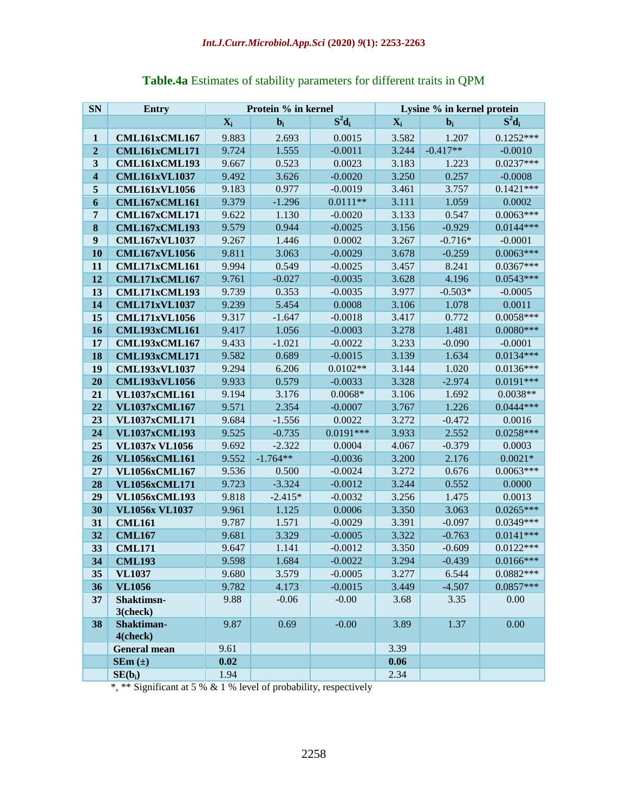| <b>SN</b>               | Entry                          |                | Protein % in kernel |                        | Lysine % in kernel protein |                      |                            |
|-------------------------|--------------------------------|----------------|---------------------|------------------------|----------------------------|----------------------|----------------------------|
|                         |                                | $X_i$          | $bi$                | $S^2d_i$               | $X_i$                      | $bi$                 | $S^2d_i$                   |
| $\mathbf{1}$            | CML161xCML167                  | 9.883          | 2.693               | 0.0015                 | 3.582                      | 1.207                | $0.1252***$                |
| $\mathbf{2}$            | CML161xCML171                  | 9.724          | 1.555               | $-0.0011$              | 3.244                      | $-0.417**$           | $-0.0010$                  |
| $\mathbf{3}$            | CML161xCML193                  | 9.667          | 0.523               | 0.0023                 | 3.183                      | 1.223                | $0.0237***$                |
| $\overline{\mathbf{4}}$ | <b>CML161xVL1037</b>           | 9.492          | 3.626               | $-0.0020$              | 3.250                      | 0.257                | $-0.0008$                  |
| 5                       | <b>CML161xVL1056</b>           | 9.183          | 0.977               | $-0.0019$              | 3.461                      | 3.757                | $0.1421***$                |
| 6                       | <b>CML167xCML161</b>           | 9.379          | $-1.296$            | $0.0111**$             | 3.111                      | 1.059                | 0.0002                     |
| 7                       | CML167xCML171                  | 9.622          | 1.130               | $-0.0020$              | 3.133                      | 0.547                | $0.0063***$                |
| 8                       | <b>CML167xCML193</b>           | 9.579          | 0.944               | $-0.0025$              | 3.156                      | $-0.929$             | $0.0144***$                |
| 9                       | <b>CML167xVL1037</b>           | 9.267          | 1.446               | 0.0002                 | 3.267                      | $-0.716*$            | $-0.0001$                  |
| 10                      | <b>CML167xVL1056</b>           | 9.811          | 3.063               | $-0.0029$              | 3.678                      | $-0.259$             | $0.0063***$                |
| 11                      | CML171xCML161                  | 9.994          | 0.549               | $-0.0025$              | 3.457                      | 8.241                | $0.0367***$                |
| 12                      | <b>CML171xCML167</b>           | 9.761          | $-0.027$            | $-0.0035$              | 3.628                      | 4.196                | $0.0543***$                |
| 13                      | CML171xCML193                  | 9.739          | 0.353               | $-0.0035$              | 3.977                      | $-0.503*$            | $-0.0005$                  |
| 14                      | <b>CML171xVL1037</b>           | 9.239          | 5.454               | 0.0008                 | 3.106                      | 1.078                | 0.0011                     |
| 15                      | <b>CML171xVL1056</b>           | 9.317          | $-1.647$            | $-0.0018$              | 3.417                      | 0.772                | $0.0058***$                |
| 16                      | <b>CML193xCML161</b>           | 9.417          | 1.056               | $-0.0003$              | 3.278                      | 1.481                | $0.0080***$                |
| 17                      | <b>CML193xCML167</b>           | 9.433          | $-1.021$            | $-0.0022$              | 3.233                      | $-0.090$             | $-0.0001$                  |
| 18                      | <b>CML193xCML171</b>           | 9.582          | 0.689               | $-0.0015$              | 3.139                      | 1.634                | $0.0134***$                |
| 19                      | <b>CML193xVL1037</b>           | 9.294          | 6.206               | $0.0102**$             | 3.144                      | 1.020                | $0.0136***$                |
| 20                      | <b>CML193xVL1056</b>           | 9.933          | 0.579               | $-0.0033$              | 3.328                      | $-2.974$             | $0.0191***$                |
| 21                      | <b>VL1037xCML161</b>           | 9.194          | 3.176               | $0.0068*$              | 3.106                      | 1.692                | $0.0038**$                 |
| 22                      | <b>VL1037xCML167</b>           | 9.571          | 2.354               | $-0.0007$              | 3.767                      | 1.226                | $0.0444***$                |
| 23                      | <b>VL1037xCML171</b>           | 9.684          | $-1.556$            | 0.0022                 | 3.272                      | $-0.472$             | 0.0016                     |
| 24                      | <b>VL1037xCML193</b>           | 9.525          | $-0.735$            | $0.0191***$            | 3.933                      | 2.552                | $0.0258***$                |
| 25                      | <b>VL1037x VL1056</b>          | 9.692          | $-2.322$            | 0.0004                 | 4.067                      | $-0.379$             | 0.0003                     |
| 26                      | <b>VL1056xCML161</b>           | 9.552          | $-1.764**$          | $-0.0036$              | 3.200                      | 2.176                | $0.0021*$                  |
| 27                      | <b>VL1056xCML167</b>           | 9.536          | 0.500               | $-0.0024$              | 3.272                      | 0.676                | $0.0063***$                |
| 28                      | <b>VL1056xCML171</b>           | 9.723          | $-3.324$            | $-0.0012$              | 3.244                      | 0.552                | 0.0000                     |
| 29                      | <b>VL1056xCML193</b>           | 9.818          | $-2.415*$           | $-0.0032$              | 3.256                      | 1.475                | 0.0013                     |
| 30                      | <b>VL1056x VL1037</b>          | 9.961          | 1.125               | 0.0006                 | 3.350                      | 3.063                | $0.0265***$                |
| 31                      | <b>CML161</b>                  | 9.787          | 1.571               | $-0.0029$              | 3.391                      | $-0.097$             | 0.0349***<br>$0.0141***$   |
| 32                      | <b>CML167</b>                  | 9.681          | 3.329               | $-0.0005$              | 3.322                      | $-0.763$             |                            |
| 33                      | <b>CML171</b>                  | 9.647<br>9.598 | 1.141               | $-0.0012$<br>$-0.0022$ | 3.350<br>3.294             | $-0.609$<br>$-0.439$ | $0.0122***$<br>$0.0166***$ |
| 34<br>35                | <b>CML193</b>                  | 9.680          | 1.684<br>3.579      | $-0.0005$              | 3.277                      | 6.544                | $0.0882***$                |
| 36                      | <b>VL1037</b><br><b>VL1056</b> | 9.782          | 4.173               | $-0.0015$              | 3.449                      | $-4.507$             | $0.0857***$                |
| 37                      | Shaktimsn-                     | 9.88           | $-0.06$             | $-0.00$                | 3.68                       | 3.35                 | 0.00                       |
|                         | 3(check)                       |                |                     |                        |                            |                      |                            |
| 38                      | Shaktiman-                     | 9.87           | 0.69                | $-0.00$                | 3.89                       | 1.37                 | 0.00                       |
|                         | 4(check)                       |                |                     |                        |                            |                      |                            |
|                         | <b>General mean</b>            | 9.61           |                     |                        | 3.39                       |                      |                            |
|                         | $SEm(\pm)$                     | 0.02           |                     |                        | 0.06                       |                      |                            |
|                         | $SE(b_i)$                      | 1.94           |                     |                        | 2.34                       |                      |                            |

# **Table.4a** Estimates of stability parameters for different traits in QPM

\*, \*\* Significant at 5 % & 1 % level of probability, respectively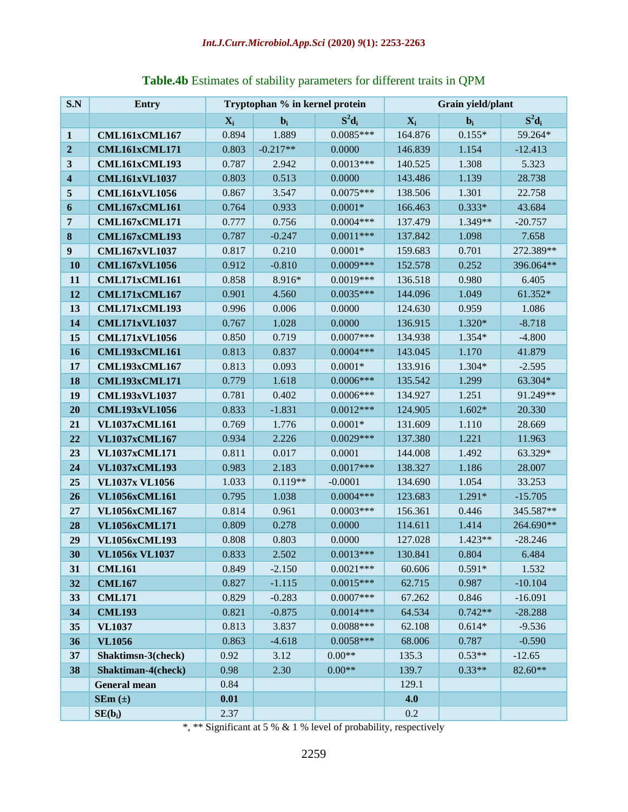|  | Table.4b Estimates of stability parameters for different traits in QPM |  |
|--|------------------------------------------------------------------------|--|
|--|------------------------------------------------------------------------|--|

| S.N                     | <b>Entry</b>          | Tryptophan % in kernel protein |            | Grain yield/plant |         |                  |           |
|-------------------------|-----------------------|--------------------------------|------------|-------------------|---------|------------------|-----------|
|                         |                       | $X_i$                          | $bi$       | $S^2d_i$          | $X_i$   | $\mathbf{b}_{i}$ | $S^2d_i$  |
| $\mathbf{1}$            | CML161xCML167         | 0.894                          | 1.889      | $0.0085***$       | 164.876 | $0.155*$         | 59.264*   |
| $\boldsymbol{2}$        | CML161xCML171         | 0.803                          | $-0.217**$ | 0.0000            | 146.839 | 1.154            | $-12.413$ |
| 3                       | CML161xCML193         | 0.787                          | 2.942      | $0.0013***$       | 140.525 | 1.308            | 5.323     |
| $\overline{\mathbf{4}}$ | <b>CML161xVL1037</b>  | 0.803                          | 0.513      | 0.0000            | 143.486 | 1.139            | 28.738    |
| 5                       | <b>CML161xVL1056</b>  | 0.867                          | 3.547      | $0.0075***$       | 138.506 | 1.301            | 22.758    |
| 6                       | CML167xCML161         | 0.764                          | 0.933      | $0.0001*$         | 166.463 | $0.333*$         | 43.684    |
| 7                       | CML167xCML171         | 0.777                          | 0.756      | $0.0004***$       | 137.479 | $1.349**$        | $-20.757$ |
| $\bf{8}$                | <b>CML167xCML193</b>  | 0.787                          | $-0.247$   | $0.0011***$       | 137.842 | 1.098            | 7.658     |
| $\boldsymbol{9}$        | <b>CML167xVL1037</b>  | 0.817                          | 0.210      | $0.0001*$         | 159.683 | 0.701            | 272.389** |
| 10                      | <b>CML167xVL1056</b>  | 0.912                          | $-0.810$   | $0.0009***$       | 152.578 | 0.252            | 396.064** |
| 11                      | CML171xCML161         | 0.858                          | 8.916*     | $0.0019***$       | 136.518 | 0.980            | 6.405     |
| 12                      | CML171xCML167         | 0.901                          | 4.560      | $0.0035***$       | 144.096 | 1.049            | 61.352*   |
| 13                      | CML171xCML193         | 0.996                          | 0.006      | 0.0000            | 124.630 | 0.959            | 1.086     |
| 14                      | <b>CML171xVL1037</b>  | 0.767                          | 1.028      | 0.0000            | 136.915 | 1.320*           | $-8.718$  |
| 15                      | <b>CML171xVL1056</b>  | 0.850                          | 0.719      | $0.0007***$       | 134.938 | 1.354*           | $-4.800$  |
| 16                      | <b>CML193xCML161</b>  | 0.813                          | 0.837      | $0.0004***$       | 143.045 | 1.170            | 41.879    |
| 17                      | <b>CML193xCML167</b>  | 0.813                          | 0.093      | $0.0001*$         | 133.916 | $1.304*$         | $-2.595$  |
| 18                      | <b>CML193xCML171</b>  | 0.779                          | 1.618      | $0.0006***$       | 135.542 | 1.299            | 63.304*   |
| 19                      | <b>CML193xVL1037</b>  | 0.781                          | 0.402      | $0.0006***$       | 134.927 | 1.251            | 91.249**  |
| 20                      | <b>CML193xVL1056</b>  | 0.833                          | $-1.831$   | $0.0012***$       | 124.905 | $1.602*$         | 20.330    |
| 21                      | <b>VL1037xCML161</b>  | 0.769                          | 1.776      | $0.0001*$         | 131.609 | 1.110            | 28.669    |
| 22                      | <b>VL1037xCML167</b>  | 0.934                          | 2.226      | $0.0029***$       | 137.380 | 1.221            | 11.963    |
| 23                      | <b>VL1037xCML171</b>  | 0.811                          | 0.017      | 0.0001            | 144.008 | 1.492            | 63.329*   |
| 24                      | <b>VL1037xCML193</b>  | 0.983                          | 2.183      | $0.0017***$       | 138.327 | 1.186            | 28.007    |
| 25                      | <b>VL1037x VL1056</b> | 1.033                          | $0.119**$  | $-0.0001$         | 134.690 | 1.054            | 33.253    |
| 26                      | <b>VL1056xCML161</b>  | 0.795                          | 1.038      | $0.0004***$       | 123.683 | 1.291*           | $-15.705$ |
| 27                      | <b>VL1056xCML167</b>  | 0.814                          | 0.961      | $0.0003***$       | 156.361 | 0.446            | 345.587** |
| 28                      | <b>VL1056xCML171</b>  | 0.809                          | 0.278      | 0.0000            | 114.611 | 1.414            | 264.690** |
| 29                      | <b>VL1056xCML193</b>  | 0.808                          | 0.803      | 0.0000            | 127.028 | $1.423**$        | $-28.246$ |
| 30                      | <b>VL1056x VL1037</b> | 0.833                          | 2.502      | $0.0013***$       | 130.841 | 0.804            | 6.484     |
| 31                      | <b>CML161</b>         | 0.849                          | $-2.150$   | $0.0021***$       | 60.606  | $0.591*$         | 1.532     |
| 32                      | <b>CML167</b>         | 0.827                          | $-1.115$   | $0.0015***$       | 62.715  | 0.987            | $-10.104$ |
| 33                      | <b>CML171</b>         | 0.829                          | $-0.283$   | $0.0007***$       | 67.262  | 0.846            | $-16.091$ |
| 34                      | <b>CML193</b>         | 0.821                          | $-0.875$   | $0.0014***$       | 64.534  | $0.742**$        | $-28.288$ |
| 35                      | <b>VL1037</b>         | 0.813                          | 3.837      | $0.0088***$       | 62.108  | $0.614*$         | $-9.536$  |
| 36                      | <b>VL1056</b>         | 0.863                          | $-4.618$   | $0.0058***$       | 68.006  | 0.787            | $-0.590$  |
| 37                      | Shaktimsn-3(check)    | 0.92                           | 3.12       | $0.00**$          | 135.3   | $0.53**$         | $-12.65$  |
| 38                      | Shaktiman-4(check)    | 0.98                           | 2.30       | $0.00**$          | 139.7   | $0.33**$         | $82.60**$ |
|                         | <b>General mean</b>   | 0.84                           |            |                   | 129.1   |                  |           |
|                         | $SEm (\pm)$           | 0.01                           |            |                   | 4.0     |                  |           |
|                         | $SE(b_i)$             | 2.37                           |            |                   | 0.2     |                  |           |

\*, \*\* Significant at 5 % & 1 % level of probability, respectively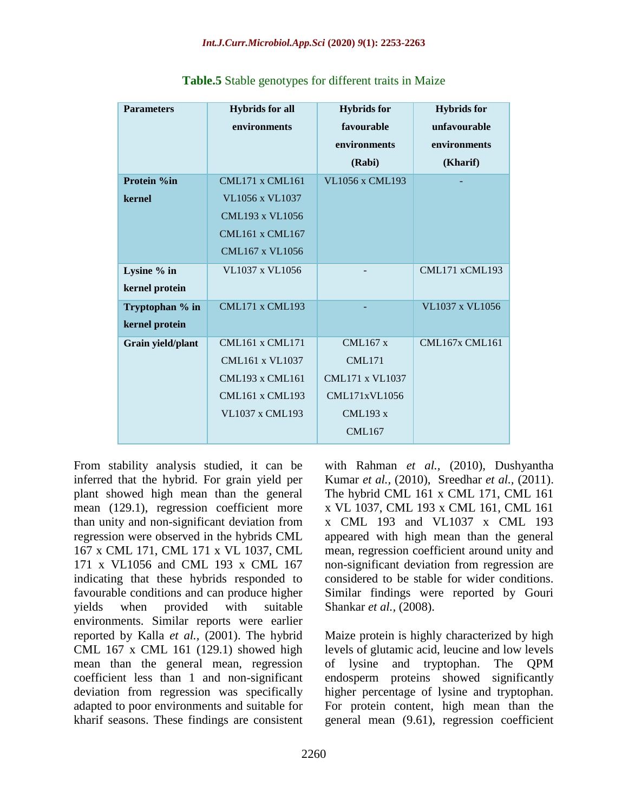| <b>Parameters</b> | <b>Hybrids</b> for all | <b>Hybrids</b> for     | <b>Hybrids</b> for    |
|-------------------|------------------------|------------------------|-----------------------|
|                   | environments           | favourable             | unfavourable          |
|                   |                        | environments           | environments          |
|                   |                        | (Rabi)                 | (Kharif)              |
| Protein %in       | <b>CML171 x CML161</b> | <b>VL1056 x CML193</b> |                       |
| kernel            | VL1056 x VL1037        |                        |                       |
|                   | <b>CML193 x VL1056</b> |                        |                       |
|                   | <b>CML161 x CML167</b> |                        |                       |
|                   | <b>CML167 x VL1056</b> |                        |                       |
| Lysine % in       | VL1037 x VL1056        |                        | CML171 xCML193        |
| kernel protein    |                        |                        |                       |
| Tryptophan % in   | <b>CML171 x CML193</b> |                        | VL1037 x VL1056       |
| kernel protein    |                        |                        |                       |
| Grain yield/plant | CML161 x CML171        | CML167x                | <b>CML167x CML161</b> |
|                   | <b>CML161 x VL1037</b> | <b>CML171</b>          |                       |
|                   | <b>CML193 x CML161</b> | <b>CML171 x VL1037</b> |                       |
|                   | <b>CML161 x CML193</b> | <b>CML171xVL1056</b>   |                       |
|                   | <b>VL1037 x CML193</b> | <b>CML193 x</b>        |                       |
|                   |                        | <b>CML167</b>          |                       |

**Table.5** Stable genotypes for different traits in Maize

From stability analysis studied, it can be inferred that the hybrid. For grain yield per plant showed high mean than the general mean (129.1), regression coefficient more than unity and non-significant deviation from regression were observed in the hybrids CML 167 x CML 171, CML 171 x VL 1037, CML 171 x VL1056 and CML 193 x CML 167 indicating that these hybrids responded to favourable conditions and can produce higher yields when provided with suitable environments. Similar reports were earlier reported by Kalla *et al.,* (2001). The hybrid CML 167 x CML 161 (129.1) showed high mean than the general mean, regression coefficient less than 1 and non-significant deviation from regression was specifically adapted to poor environments and suitable for kharif seasons. These findings are consistent with Rahman *et al.,* (2010), Dushyantha Kumar *et al.,* (2010), Sreedhar *et al.,* (2011). The hybrid CML 161 x CML 171, CML 161 x VL 1037, CML 193 x CML 161, CML 161 x CML 193 and VL1037 x CML 193 appeared with high mean than the general mean, regression coefficient around unity and non-significant deviation from regression are considered to be stable for wider conditions. Similar findings were reported by Gouri Shankar *et al.,* (2008).

Maize protein is highly characterized by high levels of glutamic acid, leucine and low levels of lysine and tryptophan. The QPM endosperm proteins showed significantly higher percentage of lysine and tryptophan. For protein content, high mean than the general mean (9.61), regression coefficient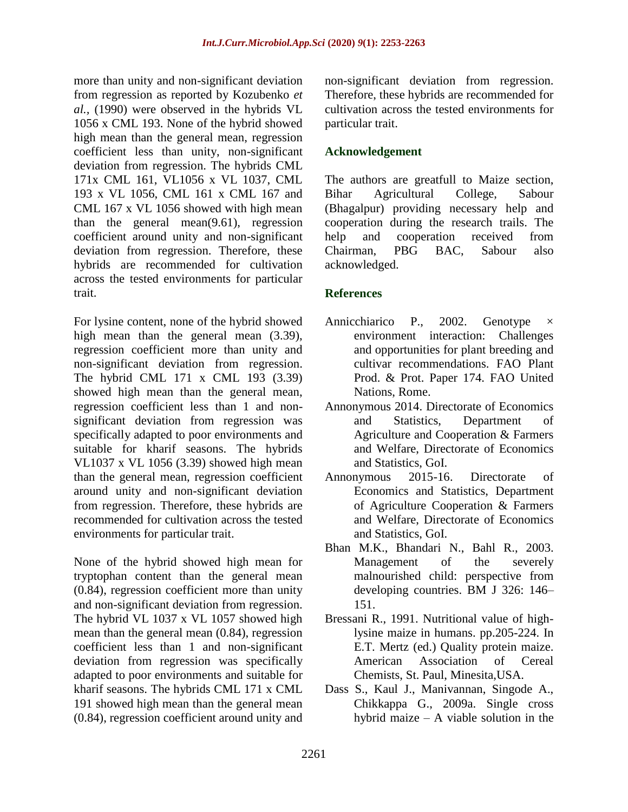more than unity and non-significant deviation from regression as reported by Kozubenko *et al.,* (1990) were observed in the hybrids VL 1056 x CML 193. None of the hybrid showed high mean than the general mean, regression coefficient less than unity, non-significant deviation from regression. The hybrids CML 171x CML 161, VL1056 x VL 1037, CML 193 x VL 1056, CML 161 x CML 167 and CML 167 x VL 1056 showed with high mean than the general mean(9.61), regression coefficient around unity and non-significant deviation from regression. Therefore, these hybrids are recommended for cultivation across the tested environments for particular trait.

For lysine content, none of the hybrid showed high mean than the general mean  $(3.39)$ , regression coefficient more than unity and non-significant deviation from regression. The hybrid CML 171 x CML 193 (3.39) showed high mean than the general mean, regression coefficient less than 1 and nonsignificant deviation from regression was specifically adapted to poor environments and suitable for kharif seasons. The hybrids VL1037 x VL 1056 (3.39) showed high mean than the general mean, regression coefficient around unity and non-significant deviation from regression. Therefore, these hybrids are recommended for cultivation across the tested environments for particular trait.

None of the hybrid showed high mean for tryptophan content than the general mean (0.84), regression coefficient more than unity and non-significant deviation from regression. The hybrid VL 1037 x VL 1057 showed high mean than the general mean (0.84), regression coefficient less than 1 and non-significant deviation from regression was specifically adapted to poor environments and suitable for kharif seasons. The hybrids CML 171 x CML 191 showed high mean than the general mean (0.84), regression coefficient around unity and

non-significant deviation from regression. Therefore, these hybrids are recommended for cultivation across the tested environments for particular trait.

## **Acknowledgement**

The authors are greatfull to Maize section, Bihar Agricultural College, Sabour (Bhagalpur) providing necessary help and cooperation during the research trails. The help and cooperation received from Chairman, PBG BAC, Sabour also acknowledged.

## **References**

- Annicchiarico P., 2002. Genotype environment interaction: Challenges and opportunities for plant breeding and cultivar recommendations. FAO Plant Prod. & Prot. Paper 174. FAO United Nations, Rome.
- Annonymous 2014. Directorate of Economics and Statistics, Department of Agriculture and Cooperation & Farmers and Welfare, Directorate of Economics and Statistics, GoI.
- Annonymous 2015-16. Directorate of Economics and Statistics, Department of Agriculture Cooperation & Farmers and Welfare, Directorate of Economics and Statistics, GoI.
- Bhan M.K., Bhandari N., Bahl R., 2003. Management of the severely malnourished child: perspective from developing countries. BM J 326: 146– 151.
- Bressani R., 1991. Nutritional value of highlysine maize in humans. pp.205-224. In E.T. Mertz (ed.) Quality protein maize. American Association of Cereal Chemists, St. Paul, Minesita,USA.
- Dass S., Kaul J., Manivannan, Singode A., Chikkappa G., 2009a. Single cross hybrid maize – A viable solution in the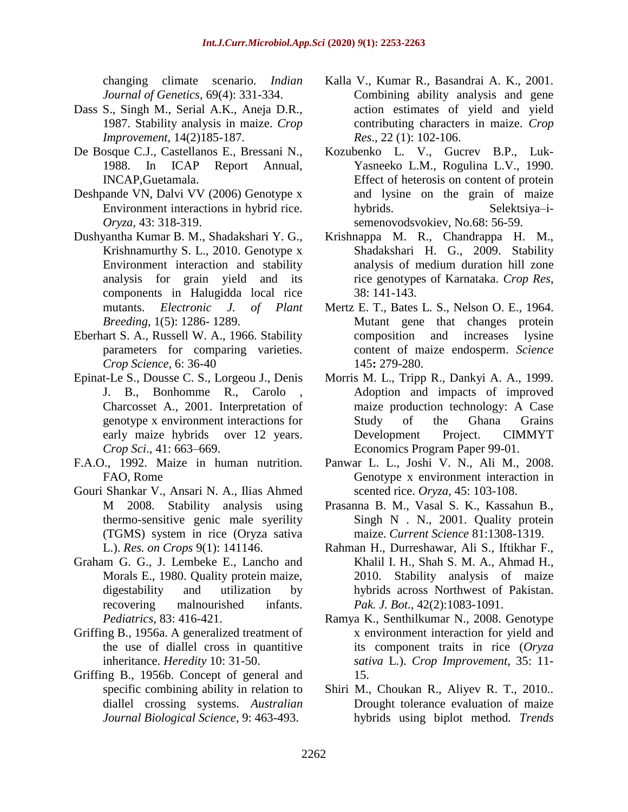changing climate scenario. *Indian Journal of Genetics*, 69(4): 331-334.

- Dass S., Singh M., Serial A.K., Aneja D.R., 1987. Stability analysis in maize. *Crop Improvement,* 14(2)185-187.
- De Bosque C.J., Castellanos E., Bressani N., 1988. In ICAP Report Annual, INCAP,Guetamala.
- Deshpande VN, Dalvi VV (2006) Genotype x Environment interactions in hybrid rice. *Oryza,* 43: 318-319.
- Dushyantha Kumar B. M., Shadakshari Y. G., Krishnamurthy S. L., 2010. Genotype x Environment interaction and stability analysis for grain yield and its components in Halugidda local rice mutants. *Electronic J. of Plant Breeding*, 1(5): 1286- 1289.
- Eberhart S. A., Russell W. A., 1966. Stability parameters for comparing varieties. *Crop Science*, 6: 36-40
- Epinat-Le S., Dousse C. S., Lorgeou J., Denis J. B., Bonhomme R., Carolo Charcosset A., 2001. Interpretation of genotype x environment interactions for early maize hybrids over 12 years. *Crop Sci*., 41: 663–669.
- F.A.O., 1992. Maize in human nutrition. FAO, Rome
- Gouri Shankar V., Ansari N. A., Ilias Ahmed M 2008. Stability analysis using thermo-sensitive genic male syerility (TGMS) system in rice (Oryza sativa L.). *Res. on Crops* 9(1): 141146.
- Graham G. G., J. Lembeke E., Lancho and Morals E., 1980. Quality protein maize, digestability and utilization by recovering malnourished infants. *Pediatrics*, 83: 416-421.
- Griffing B., 1956a. A generalized treatment of the use of diallel cross in quantitive inheritance. *Heredity* 10: 31-50.
- Griffing B., 1956b. Concept of general and specific combining ability in relation to diallel crossing systems. *Australian Journal Biological Science*, 9: 463-493.
- Kalla V., Kumar R., Basandrai A. K., 2001. Combining ability analysis and gene action estimates of yield and yield contributing characters in maize. *Crop Res*., 22 (1): 102-106.
- Kozubenko L. V., Gucrev B.P., Luk-Yasneeko L.M., Rogulina L.V., 1990. Effect of heterosis on content of protein and lysine on the grain of maize hybrids. Selektsiya–isemenovodsvokiev, No.68: 56-59.
- Krishnappa M. R., Chandrappa H. M., Shadakshari H. G., 2009. Stability analysis of medium duration hill zone rice genotypes of Karnataka. *Crop Res*, 38: 141-143.
- Mertz E. T., Bates L. S., Nelson O. E., 1964. Mutant gene that changes protein composition and increases lysine content of maize endosperm. *Science* 145**:** 279-280.
- Morris M. L., Tripp R., Dankyi A. A., 1999. Adoption and impacts of improved maize production technology: A Case Study of the Ghana Grains Development Project. CIMMYT Economics Program Paper 99-01.
- Panwar L. L., Joshi V. N., Ali M., 2008. Genotype x environment interaction in scented rice. *Oryza,* 45: 103-108.
- Prasanna B. M., Vasal S. K., Kassahun B., Singh N . N., 2001. Quality protein maize. *Current Science* 81:1308-1319.
- Rahman H., Durreshawar, Ali S., Iftikhar F., Khalil I. H., Shah S. M. A., Ahmad H., 2010. Stability analysis of maize hybrids across Northwest of Pakistan. *Pak. J. Bot.,* 42(2):1083-1091.
- Ramya K., Senthilkumar N., 2008. Genotype x environment interaction for yield and its component traits in rice (*Oryza sativa* L.). *Crop Improvement*, 35: 11- 15.
- Shiri M., Choukan R., Aliyev R. T., 2010.. Drought tolerance evaluation of maize hybrids using biplot method. *Trends*